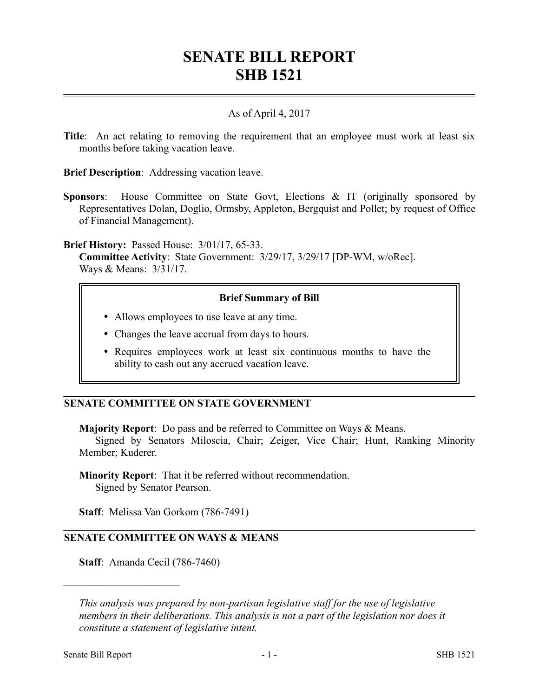# **SENATE BILL REPORT SHB 1521**

# As of April 4, 2017

**Title**: An act relating to removing the requirement that an employee must work at least six months before taking vacation leave.

**Brief Description**: Addressing vacation leave.

**Sponsors**: House Committee on State Govt, Elections & IT (originally sponsored by Representatives Dolan, Doglio, Ormsby, Appleton, Bergquist and Pollet; by request of Office of Financial Management).

**Brief History:** Passed House: 3/01/17, 65-33.

**Committee Activity**: State Government: 3/29/17, 3/29/17 [DP-WM, w/oRec]. Ways & Means: 3/31/17.

## **Brief Summary of Bill**

- Allows employees to use leave at any time.
- Changes the leave accrual from days to hours.
- Requires employees work at least six continuous months to have the ability to cash out any accrued vacation leave.

# **SENATE COMMITTEE ON STATE GOVERNMENT**

**Majority Report**: Do pass and be referred to Committee on Ways & Means.

Signed by Senators Miloscia, Chair; Zeiger, Vice Chair; Hunt, Ranking Minority Member; Kuderer.

**Minority Report**: That it be referred without recommendation. Signed by Senator Pearson.

**Staff**: Melissa Van Gorkom (786-7491)

## **SENATE COMMITTEE ON WAYS & MEANS**

**Staff**: Amanda Cecil (786-7460)

––––––––––––––––––––––

*This analysis was prepared by non-partisan legislative staff for the use of legislative members in their deliberations. This analysis is not a part of the legislation nor does it constitute a statement of legislative intent.*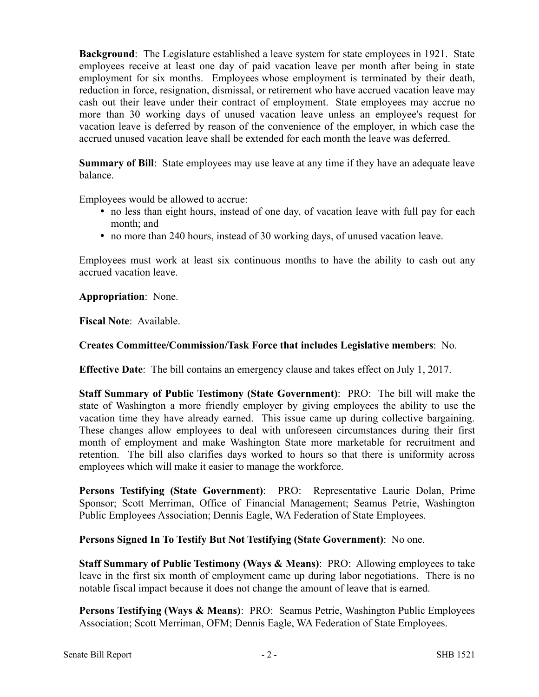**Background**: The Legislature established a leave system for state employees in 1921. State employees receive at least one day of paid vacation leave per month after being in state employment for six months. Employees whose employment is terminated by their death, reduction in force, resignation, dismissal, or retirement who have accrued vacation leave may cash out their leave under their contract of employment. State employees may accrue no more than 30 working days of unused vacation leave unless an employee's request for vacation leave is deferred by reason of the convenience of the employer, in which case the accrued unused vacation leave shall be extended for each month the leave was deferred.

**Summary of Bill**: State employees may use leave at any time if they have an adequate leave balance.

Employees would be allowed to accrue:

- no less than eight hours, instead of one day, of vacation leave with full pay for each month; and
- no more than 240 hours, instead of 30 working days, of unused vacation leave.

Employees must work at least six continuous months to have the ability to cash out any accrued vacation leave.

**Appropriation**: None.

**Fiscal Note**: Available.

#### **Creates Committee/Commission/Task Force that includes Legislative members**: No.

**Effective Date**: The bill contains an emergency clause and takes effect on July 1, 2017.

**Staff Summary of Public Testimony (State Government)**: PRO: The bill will make the state of Washington a more friendly employer by giving employees the ability to use the vacation time they have already earned. This issue came up during collective bargaining. These changes allow employees to deal with unforeseen circumstances during their first month of employment and make Washington State more marketable for recruitment and retention. The bill also clarifies days worked to hours so that there is uniformity across employees which will make it easier to manage the workforce.

**Persons Testifying (State Government)**: PRO: Representative Laurie Dolan, Prime Sponsor; Scott Merriman, Office of Financial Management; Seamus Petrie, Washington Public Employees Association; Dennis Eagle, WA Federation of State Employees.

## **Persons Signed In To Testify But Not Testifying (State Government)**: No one.

**Staff Summary of Public Testimony (Ways & Means)**: PRO: Allowing employees to take leave in the first six month of employment came up during labor negotiations. There is no notable fiscal impact because it does not change the amount of leave that is earned.

**Persons Testifying (Ways & Means)**: PRO: Seamus Petrie, Washington Public Employees Association; Scott Merriman, OFM; Dennis Eagle, WA Federation of State Employees.